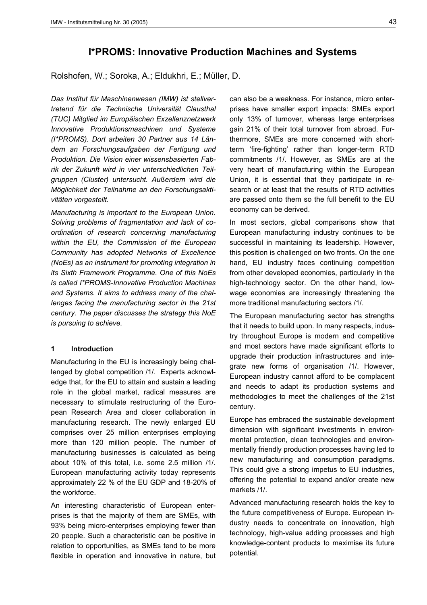# **I\*PROMS: Innovative Production Machines and Systems**

Rolshofen, W.; Soroka, A.; Eldukhri, E.; Müller, D.

*Das Institut für Maschinenwesen (IMW) ist stellvertretend für die Technische Universität Clausthal (TUC) Mitglied im Europäischen Exzellenznetzwerk Innovative Produktionsmaschinen und Systeme (I\*PROMS). Dort arbeiten 30 Partner aus 14 Ländern an Forschungsaufgaben der Fertigung und Produktion. Die Vision einer wissensbasierten Fabrik der Zukunft wird in vier unterschiedlichen Teilgruppen (Cluster) untersucht. Außerdem wird die Möglichkeit der Teilnahme an den Forschungsaktivitäten vorgestellt.* 

*Manufacturing is important to the European Union. Solving problems of fragmentation and lack of coordination of research concerning manufacturing within the EU, the Commission of the European Community has adopted Networks of Excellence (NoEs) as an instrument for promoting integration in its Sixth Framework Programme. One of this NoEs is called I\*PROMS-Innovative Production Machines and Systems. It aims to address many of the challenges facing the manufacturing sector in the 21st century. The paper discusses the strategy this NoE is pursuing to achieve.* 

#### **1 Introduction**

Manufacturing in the EU is increasingly being challenged by global competition /1/. Experts acknowledge that, for the EU to attain and sustain a leading role in the global market, radical measures are necessary to stimulate restructuring of the European Research Area and closer collaboration in manufacturing research. The newly enlarged EU comprises over 25 million enterprises employing more than 120 million people. The number of manufacturing businesses is calculated as being about 10% of this total, i.e. some 2.5 million /1/. European manufacturing activity today represents approximately 22 % of the EU GDP and 18-20% of the workforce.

An interesting characteristic of European enterprises is that the majority of them are SMEs, with 93% being micro-enterprises employing fewer than 20 people. Such a characteristic can be positive in relation to opportunities, as SMEs tend to be more flexible in operation and innovative in nature, but can also be a weakness. For instance, micro enterprises have smaller export impacts: SMEs export only 13% of turnover, whereas large enterprises gain 21% of their total turnover from abroad. Furthermore, SMEs are more concerned with shortterm 'fire-fighting' rather than longer-term RTD commitments /1/. However, as SMEs are at the very heart of manufacturing within the European Union, it is essential that they participate in research or at least that the results of RTD activities are passed onto them so the full benefit to the EU economy can be derived.

In most sectors, global comparisons show that European manufacturing industry continues to be successful in maintaining its leadership. However, this position is challenged on two fronts. On the one hand, EU industry faces continuing competition from other developed economies, particularly in the high-technology sector. On the other hand, lowwage economies are increasingly threatening the more traditional manufacturing sectors /1/.

The European manufacturing sector has strengths that it needs to build upon. In many respects, industry throughout Europe is modern and competitive and most sectors have made significant efforts to upgrade their production infrastructures and integrate new forms of organisation /1/. However, European industry cannot afford to be complacent and needs to adapt its production systems and methodologies to meet the challenges of the 21st century.

Europe has embraced the sustainable development dimension with significant investments in environmental protection, clean technologies and environmentally friendly production processes having led to new manufacturing and consumption paradigms. This could give a strong impetus to EU industries, offering the potential to expand and/or create new markets /1/.

Advanced manufacturing research holds the key to the future competitiveness of Europe. European industry needs to concentrate on innovation, high technology, high-value adding processes and high knowledge-content products to maximise its future potential.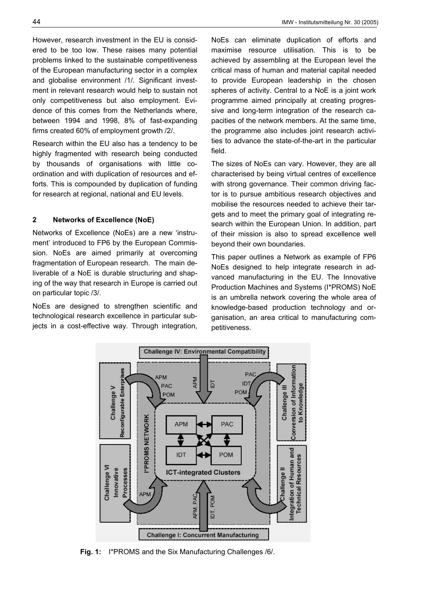However, research investment in the EU is considered to be too low. These raises many potential problems linked to the sustainable competitiveness of the European manufacturing sector in a complex and globalise environment /1/. Significant investment in relevant research would help to sustain not only competitiveness but also employment. Evidence of this comes from the Netherlands where, between 1994 and 1998, 8% of fast-expanding firms created 60% of employment growth  $\frac{2}{.}$ 

Research within the EU also has a tendency to be highly fragmented with research being conducted by thousands of organisations with little coordination and with duplication of resources and efforts. This is compounded by duplication of funding for research at regional, national and EU levels.

## **2 Networks of Excellence (NoE)**

Networks of Excellence (NoEs) are a new 'instrument' introduced to FP6 by the European Commission. NoEs are aimed primarily at overcoming fragmentation of European research. The main deliverable of a NoE is durable structuring and shaping of the way that research in Europe is carried out on particular topic /3/.

NoEs are designed to strengthen scientific and technological research excellence in particular subjects in a cost-effective way. Through integration, NoEs can eliminate duplication of efforts and maximise resource utilisation. This is to be achieved by assembling at the European level the critical mass of human and material capital needed to provide European leadership in the chosen spheres of activity. Central to a NoE is a joint work programme aimed principally at creating progressive and long-term integration of the research capacities of the network members. At the same time, the programme also includes joint research activities to advance the state-of-the-art in the particular field.

The sizes of NoEs can vary. However, they are all characterised by being virtual centres of excellence with strong governance. Their common driving factor is to pursue ambitious research objectives and mobilise the resources needed to achieve their targets and to meet the primary goal of integrating research within the European Union. In addition, part of their mission is also to spread excellence well beyond their own boundaries.

This paper outlines a Network as example of FP6 NoEs designed to help integrate research in advanced manufacturing in the EU. The Innovative Production Machines and Systems (I\*PROMS) NoE is an umbrella network covering the whole area of knowledge-based production technology and organisation, an area critical to manufacturing competitiveness.



**Fig. 1:** I\*PROMS and the Six Manufacturing Challenges /6/.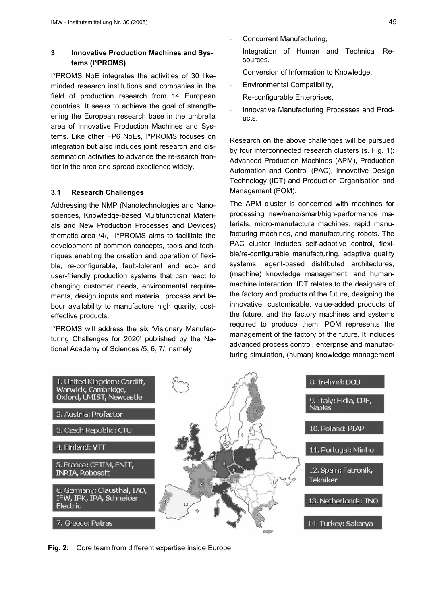## **3 Innovative Production Machines and Systems (I\*PROMS)**

I\*PROMS NoE integrates the activities of 30 likeminded research institutions and companies in the field of production research from 14 European countries. It seeks to achieve the goal of strengthening the European research base in the umbrella area of Innovative Production Machines and Systems. Like other FP6 NoEs, I\*PROMS focuses on integration but also includes joint research and dissemination activities to advance the re-search frontier in the area and spread excellence widely.

## **3.1 Research Challenges**

Addressing the NMP (Nanotechnologies and Nanosciences, Knowledge-based Multifunctional Materials and New Production Processes and Devices) thematic area /4/, I\*PROMS aims to facilitate the development of common concepts, tools and techniques enabling the creation and operation of flexible, re-configurable, fault-tolerant and eco- and user-friendly production systems that can react to changing customer needs, environmental requirements, design inputs and material, process and labour availability to manufacture high quality, costeffective products.

I\*PROMS will address the six 'Visionary Manufacturing Challenges for 2020' published by the National Academy of Sciences /5, 6, 7/, namely,

- Concurrent Manufacturing,
- Integration of Human and Technical Resources,
- Conversion of Information to Knowledge,
- Environmental Compatibility,
- Re-configurable Enterprises,
- Innovative Manufacturing Processes and Products.

Research on the above challenges will be pursued by four interconnected research clusters (s. Fig. 1): Advanced Production Machines (APM), Production Automation and Control (PAC), Innovative Design Technology (IDT) and Production Organisation and Management (POM).

The APM cluster is concerned with machines for processing new/nano/smart/high-performance materials, micro-manufacture machines, rapid manufacturing machines, and manufacturing robots. The PAC cluster includes self-adaptive control, flexible/re-configurable manufacturing, adaptive quality systems, agent-based distributed architectures, (machine) knowledge management, and humanmachine interaction. IDT relates to the designers of the factory and products of the future, designing the innovative, customisable, value-added products of the future, and the factory machines and systems required to produce them. POM represents the management of the factory of the future. It includes advanced process control, enterprise and manufacturing simulation, (human) knowledge management



**Fig. 2:** Core team from different expertise inside Europe.